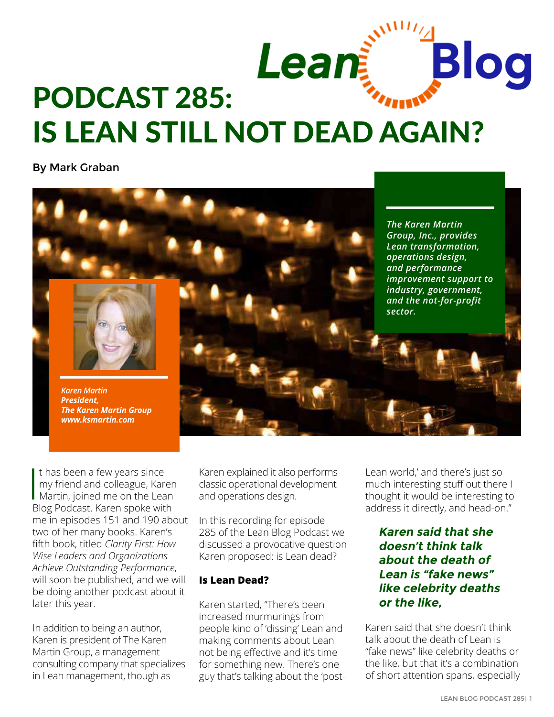

By Mark Graban



 $\begin{array}{c} \hline \text{ } \\ \text{ } \\ \text{ } \\ \text{ } \end{array}$ t has been a few years since my friend and colleague, Karen Martin, joined me on the Lean Blog Podcast. Karen spoke with me in episodes [151](http://leanblog.org/151) and [190](http://www.leanblog.org/2014/01/podcast-190-karen-martin-on-value-stream-mapping/) about two of her many books. Karen's fifth book, titled *[Clarity First: How](http://amzn.to/2ftMs1h)  [Wise Leaders and Organizations](http://amzn.to/2ftMs1h)  [Achieve Outstanding Performance](http://amzn.to/2ftMs1h)*, will soon be published, and we will be doing another podcast about it later this year.

In addition to being an author, Karen is president of The Karen Martin Group, a management consulting company that specializes in Lean management, though as

Karen explained it also performs classic operational development and operations design.

In this recording for episode 285 of the Lean Blog Podcast we discussed a provocative question Karen proposed: is Lean dead?

#### **Is Lean Dead?**

Karen started, "There's been increased murmurings from people kind of 'dissing' Lean and making comments about Lean not being effective and it's time for something new. There's one guy that's talking about the 'postLean world,' and there's just so much interesting stuff out there I thought it would be interesting to address it directly, and head-on."

### **Karen said that she doesn't think talk about the death of Lean is "fake news" like celebrity deaths or the like,**

Karen said that she doesn't think talk about the death of Lean is "fake news" like celebrity deaths or the like, but that it's a combination of short attention spans, especially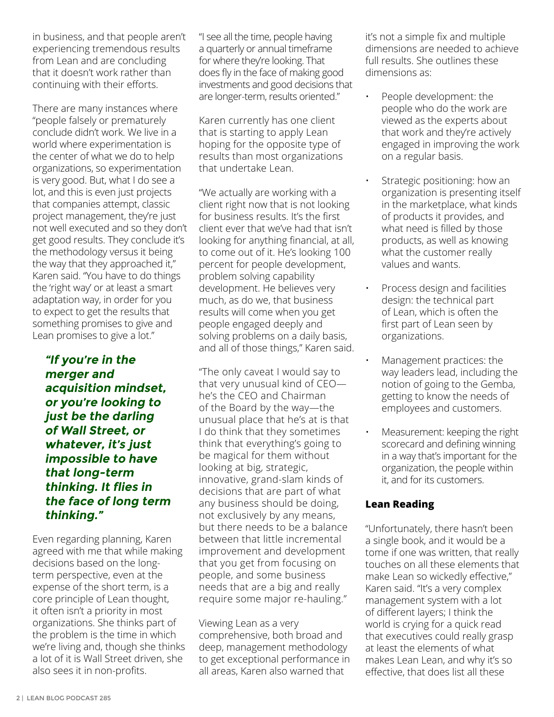in business, and that people aren't experiencing tremendous results from Lean and are concluding that it doesn't work rather than continuing with their efforts.

There are many instances where "people falsely or prematurely conclude didn't work. We live in a world where experimentation is the center of what we do to help organizations, so experimentation is very good. But, what I do see a lot, and this is even just projects that companies attempt, classic project management, they're just not well executed and so they don't get good results. They conclude it's the methodology versus it being the way that they approached it," Karen said. "You have to do things the 'right way' or at least a smart adaptation way, in order for you to expect to get the results that something promises to give and Lean promises to give a lot."

**"If you're in the merger and acquisition mindset, or you're looking to just be the darling of Wall Street, or whatever, it's just impossible to have that long-term thinking. It flies in the face of long term thinking."**

Even regarding planning, Karen agreed with me that while making decisions based on the longterm perspective, even at the expense of the short term, is a core principle of Lean thought, it often isn't a priority in most organizations. She thinks part of the problem is the time in which we're living and, though she thinks a lot of it is Wall Street driven, she also sees it in non-profits.

"I see all the time, people having a quarterly or annual timeframe for where they're looking. That does fly in the face of making good investments and good decisions that are longer-term, results oriented."

Karen currently has one client that is starting to apply Lean hoping for the opposite type of results than most organizations that undertake Lean.

"We actually are working with a client right now that is not looking for business results. It's the first client ever that we've had that isn't looking for anything financial, at all, to come out of it. He's looking 100 percent for people development, problem solving capability development. He believes very much, as do we, that business results will come when you get people engaged deeply and solving problems on a daily basis, and all of those things," Karen said.

"The only caveat I would say to that very unusual kind of CEO he's the CEO and Chairman of the Board by the way—the unusual place that he's at is that I do think that they sometimes think that everything's going to be magical for them without looking at big, strategic, innovative, grand-slam kinds of decisions that are part of what any business should be doing, not exclusively by any means, but there needs to be a balance between that little incremental improvement and development that you get from focusing on people, and some business needs that are a big and really require some major re-hauling."

Viewing Lean as a very comprehensive, both broad and deep, management methodology to get exceptional performance in all areas, Karen also warned that

it's not a simple fix and multiple dimensions are needed to achieve full results. She outlines these dimensions as:

- People development: the people who do the work are viewed as the experts about that work and they're actively engaged in improving the work on a regular basis.
- Strategic positioning: how an organization is presenting itself in the marketplace, what kinds of products it provides, and what need is filled by those products, as well as knowing what the customer really values and wants.
	- Process design and facilities design: the technical part of Lean, which is often the first part of Lean seen by organizations.
	- Management practices: the way leaders lead, including the notion of going to the Gemba, getting to know the needs of employees and customers.
	- Measurement: keeping the right scorecard and defining winning in a way that's important for the organization, the people within it, and for its customers.

### **Lean Reading**

"Unfortunately, there hasn't been a single book, and it would be a tome if one was written, that really touches on all these elements that make Lean so wickedly effective," Karen said. "It's a very complex management system with a lot of different layers; I think the world is crying for a quick read that executives could really grasp at least the elements of what makes Lean Lean, and why it's so effective, that does list all these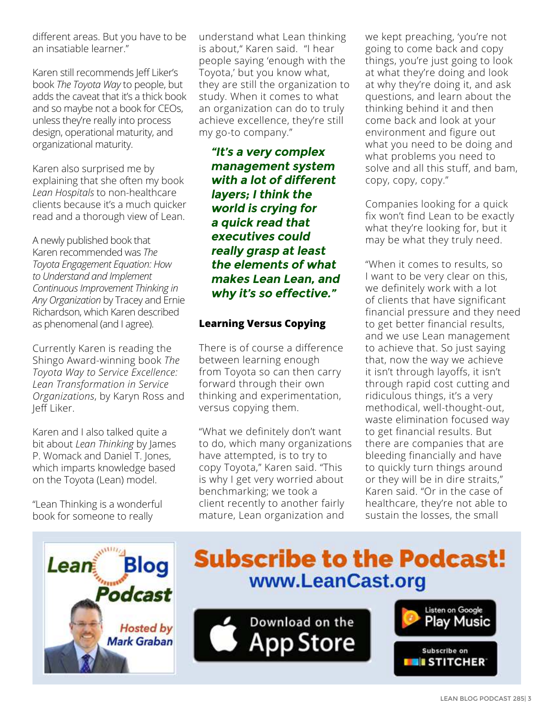different areas. But you have to be an insatiable learner."

Karen still recommends [Jeff Liker's](http://amzn.to/2vRSoaY)  book *[The Toyota Way](http://amzn.to/2vRSoaY)* to people, but adds the caveat that it's a thick book and so maybe not a book for CEOs, unless they're really into process design, operational maturity, and organizational maturity.

Karen also surprised me by explaining that she often [my book](http://amzn.to/2hWPKel)  *[Lean Hospitals](http://amzn.to/2hWPKel)* to non-healthcare clients because it's a much quicker read and a thorough view of Lean.

A newly published book that Karen recommended was *[The](http://amzn.to/2vS3o81)  [Toyota Engagement Equation: How](http://amzn.to/2vS3o81)  [to Understand and Implement](http://amzn.to/2vS3o81)  [Continuous Improvement Thinking in](http://amzn.to/2vS3o81)  [Any Organization](http://amzn.to/2vS3o81)* by Tracey and Ernie Richardson, which Karen described as phenomenal (and I agree).

Currently Karen is reading the Shingo Award-winning book *[The](http://amzn.to/2vS4lNC)  [Toyota Way to Service Excellence:](http://amzn.to/2vS4lNC)  [Lean Transformation in Service](http://amzn.to/2vS4lNC)  [Organizations](http://amzn.to/2vS4lNC)*, by Karyn Ross and Jeff Liker.

Karen and I also talked quite a bit about *[Lean Thinking](http://amzn.to/2hW8x9k)* by James [P. Womack and Daniel T. Jones,](http://amzn.to/2hW8x9k) which imparts knowledge based on the Toyota (Lean) model.

"Lean Thinking is a wonderful book for someone to really

understand what Lean thinking is about," Karen said. "I hear people saying 'enough with the Toyota,' but you know what, they are still the organization to study. When it comes to what an organization can do to truly achieve excellence, they're still my go-to company."

**"It's a very complex management system with a lot of different layers; I think the world is crying for a quick read that executives could really grasp at least the elements of what makes Lean Lean, and why it's so effective."**

### **Learning Versus Copying**

There is of course a difference between learning enough from Toyota so can then carry forward through their own thinking and experimentation, versus copying them.

"What we definitely don't want to do, which many organizations have attempted, is to try to copy Toyota," Karen said. "This is why I get very worried about benchmarking; we took a client recently to another fairly mature, Lean organization and

we kept preaching, 'you're not going to come back and copy things, you're just going to look at what they're doing and look at why they're doing it, and ask questions, and learn about the thinking behind it and then come back and look at your environment and figure out what you need to be doing and what problems you need to solve and all this stuff, and bam, copy, copy, copy."

Companies looking for a quick fix won't find Lean to be exactly what they're looking for, but it may be what they truly need.

"When it comes to results, so I want to be very clear on this, we definitely work with a lot of clients that have significant financial pressure and they need to get better financial results, and we use Lean management to achieve that. So just saying that, now the way we achieve it isn't through layoffs, it isn't through rapid cost cutting and ridiculous things, it's a very methodical, well-thought-out, waste elimination focused way to get financial results. But there are companies that are bleeding financially and have to quickly turn things around or they will be in dire straits," Karen said. "Or in the case of healthcare, they're not able to sustain the losses, the small



# **Subscribe to the Podcast!** www.LeanCast.org



Listen on Google

Subscribe on

Play Music